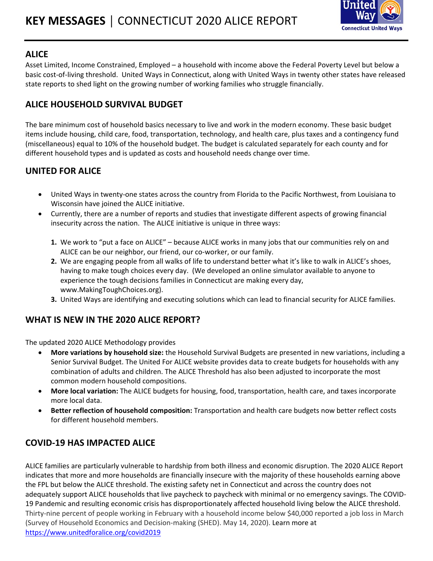

#### **ALICE**

Asset Limited, Income Constrained, Employed – a household with income above the Federal Poverty Level but below a basic cost-of-living threshold. United Ways in Connecticut, along with United Ways in twenty other states have released state reports to shed light on the growing number of working families who struggle financially.

## **ALICE HOUSEHOLD SURVIVAL BUDGET**

The bare minimum cost of household basics necessary to live and work in the modern economy. These basic budget items include housing, child care, food, transportation, technology, and health care, plus taxes and a contingency fund (miscellaneous) equal to 10% of the household budget. The budget is calculated separately for each county and for different household types and is updated as costs and household needs change over time.

## **UNITED FOR ALICE**

- United Ways in twenty-one states across the country from Florida to the Pacific Northwest, from Louisiana to Wisconsin have joined the ALICE initiative.
- Currently, there are a number of reports and studies that investigate different aspects of growing financial insecurity across the nation. The ALICE initiative is unique in three ways:
	- **1.** We work to "put a face on ALICE" because ALICE works in many jobs that our communities rely on and ALICE can be our neighbor, our friend, our co-worker, or our family.
	- **2.** We are engaging people from all walks of life to understand better what it's like to walk in ALICE's shoes, having to make tough choices every day. (We developed an online simulator available to anyone to experience the tough decisions families in Connecticut are making every day, www.MakingToughChoices.org).
	- **3.** United Ways are identifying and executing solutions which can lead to financial security for ALICE families.

### **WHAT IS NEW IN THE 2020 ALICE REPORT?**

The updated 2020 ALICE Methodology provides

- **More variations by household size:** the Household Survival Budgets are presented in new variations, including a Senior Survival Budget. The United For ALICE website provides data to create budgets for households with any combination of adults and children. The ALICE Threshold has also been adjusted to incorporate the most common modern household compositions.
- **More local variation:** The ALICE budgets for housing, food, transportation, health care, and taxes incorporate more local data.
- **Better reflection of household composition:** Transportation and health care budgets now better reflect costs for different household members.

### **COVID-19 HAS IMPACTED ALICE**

ALICE families are particularly vulnerable to hardship from both illness and economic disruption. The 2020 ALICE Report indicates that more and more households are financially insecure with the majority of these households earning above the FPL but below the ALICE threshold. The existing safety net in Connecticut and across the country does not adequately support ALICE households that live paycheck to paycheck with minimal or no emergency savings. The COVID-19 Pandemic and resulting economic crisis has disproportionately affected household living below the ALICE threshold. Thirty-nine percent of people working in February with a household income below \$40,000 reported a job loss in March (Survey of Household Economics and Decision-making (SHED). May 14, 2020). Learn more at <https://www.unitedforalice.org/covid2019>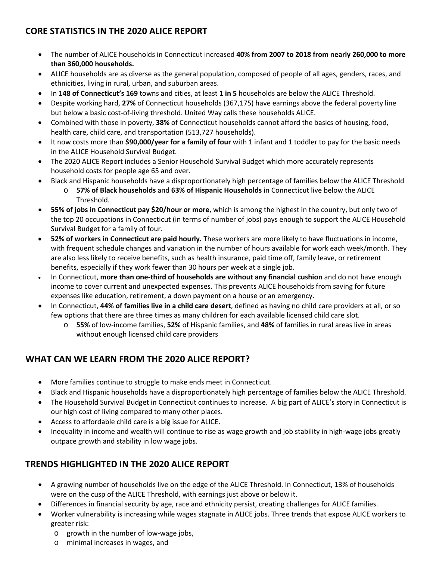## **CORE STATISTICS IN THE 2020 ALICE REPORT**

- The number of ALICE households in Connecticut increased **40% from 2007 to 2018 from nearly 260,000 to more than 360,000 households.**
- ALICE households are as diverse as the general population, composed of people of all ages, genders, races, and ethnicities, living in rural, urban, and suburban areas.
- In **148 of Connecticut's 169** towns and cities, at least **1 in 5** households are below the ALICE Threshold.
- Despite working hard, **27%** of Connecticut households (367,175) have earnings above the federal poverty line but below a basic cost-of-living threshold. United Way calls these households ALICE.
- Combined with those in poverty, **38%** of Connecticut households cannot afford the basics of housing, food, health care, child care, and transportation (513,727 households).
- It now costs more than **\$90,000/year for a family of four** with 1 infant and 1 toddler to pay for the basic needs in the ALICE Household Survival Budget.
- The 2020 ALICE Report includes a Senior Household Survival Budget which more accurately represents household costs for people age 65 and over.
- Black and Hispanic households have a disproportionately high percentage of families below the ALICE Threshold
	- o **57% of Black households** and **63% of Hispanic Households** in Connecticut live below the ALICE Threshold.
- **55% of jobs in Connecticut pay \$20/hour or more**, which is among the highest in the country, but only two of the top 20 occupations in Connecticut (in terms of number of jobs) pays enough to support the ALICE Household Survival Budget for a family of four.
- **52% of workers in Connecticut are paid hourly.** These workers are more likely to have fluctuations in income, with frequent schedule changes and variation in the number of hours available for work each week/month. They are also less likely to receive benefits, such as health insurance, paid time off, family leave, or retirement benefits, especially if they work fewer than 30 hours per week at a single job.
- In Connecticut, **more than one-third of households are without any financial cushion** and do not have enough income to cover current and unexpected expenses. This prevents ALICE households from saving for future expenses like education, retirement, a down payment on a house or an emergency.
- In Connecticut, **44% of families live in a child care desert**, defined as having no child care providers at all, or so few options that there are three times as many children for each available licensed child care slot.
	- o **55%** of low-income families, **52%** of Hispanic families, and **48%** of families in rural areas live in areas without enough licensed child care providers

# **WHAT CAN WE LEARN FROM THE 2020 ALICE REPORT?**

- More families continue to struggle to make ends meet in Connecticut.
- Black and Hispanic households have a disproportionately high percentage of families below the ALICE Threshold.
- The Household Survival Budget in Connecticut continues to increase. A big part of ALICE's story in Connecticut is our high cost of living compared to many other places.
- Access to affordable child care is a big issue for ALICE.
- Inequality in income and wealth will continue to rise as wage growth and job stability in high-wage jobs greatly outpace growth and stability in low wage jobs.

# **TRENDS HIGHLIGHTED IN THE 2020 ALICE REPORT**

- A growing number of households live on the edge of the ALICE Threshold. In Connecticut, 13% of households were on the cusp of the ALICE Threshold, with earnings just above or below it.
- Differences in financial security by age, race and ethnicity persist, creating challenges for ALICE families.
- Worker vulnerability is increasing while wages stagnate in ALICE jobs. Three trends that expose ALICE workers to greater risk:
	- o growth in the number of low-wage jobs,
	- o minimal increases in wages, and